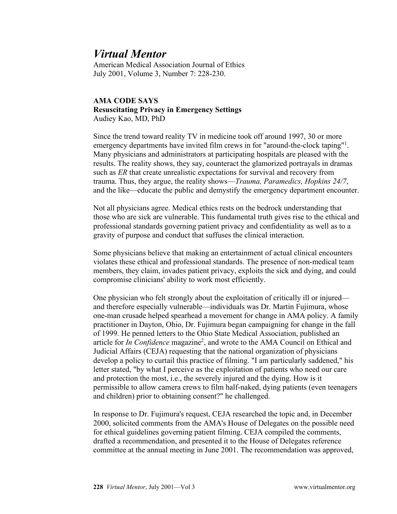## *Virtual Mentor*

American Medical Association Journal of Ethics July 2001, Volume 3, Number 7: 228-230.

## **AMA CODE SAYS Resuscitating Privacy in Emergency Settings** Audiey Kao, MD, PhD

Since the trend toward reality TV in medicine took off around 1997, 30 or more emergency departments have invited film crews in for "around-the-clock taping"<sup>1</sup>. Many physicians and administrators at participating hospitals are pleased with the results. The reality shows, they say, counteract the glamorized portrayals in dramas such as *ER* that create unrealistic expectations for survival and recovery from trauma. Thus, they argue, the reality shows—*Trauma, Paramedics, Hopkins 24/7*, and the like—educate the public and demystify the emergency department encounter.

Not all physicians agree. Medical ethics rests on the bedrock understanding that those who are sick are vulnerable. This fundamental truth gives rise to the ethical and professional standards governing patient privacy and confidentiality as well as to a gravity of purpose and conduct that suffuses the clinical interaction.

Some physicians believe that making an entertainment of actual clinical encounters violates these ethical and professional standards. The presence of non-medical team members, they claim, invades patient privacy, exploits the sick and dying, and could compromise clinicians' ability to work most efficiently.

One physician who felt strongly about the exploitation of critically ill or injured and therefore especially vulnerable—individuals was Dr. Martin Fujimura, whose one-man crusade helped spearhead a movement for change in AMA policy. A family practitioner in Dayton, Ohio, Dr. Fujimura began campaigning for change in the fall of 1999. He penned letters to the Ohio State Medical Association, published an article for *In Confidence* magazine<sup>2</sup>, and wrote to the AMA Council on Ethical and Judicial Affairs (CEJA) requesting that the national organization of physicians develop a policy to curtail this practice of filming. "I am particularly saddened," his letter stated, "by what I perceive as the exploitation of patients who need our care and protection the most, i.e., the severely injured and the dying. How is it permissible to allow camera crews to film half-naked, dying patients (even teenagers and children) prior to obtaining consent?" he challenged.

In response to Dr. Fujimura's request, CEJA researched the topic and, in December 2000, solicited comments from the AMA's House of Delegates on the possible need for ethical guidelines governing patient filming. CEJA compiled the comments, drafted a recommendation, and presented it to the House of Delegates reference committee at the annual meeting in June 2001. The recommendation was approved,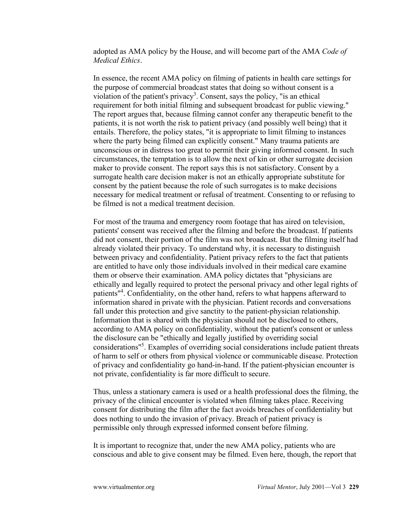adopted as AMA policy by the House, and will become part of the AMA *Code of Medical Ethics*.

In essence, the recent AMA policy on filming of patients in health care settings for the purpose of commercial broadcast states that doing so without consent is a violation of the patient's privacy<sup>3</sup>. Consent, says the policy, "is an ethical requirement for both initial filming and subsequent broadcast for public viewing." The report argues that, because filming cannot confer any therapeutic benefit to the patients, it is not worth the risk to patient privacy (and possibly well being) that it entails. Therefore, the policy states, "it is appropriate to limit filming to instances where the party being filmed can explicitly consent." Many trauma patients are unconscious or in distress too great to permit their giving informed consent. In such circumstances, the temptation is to allow the next of kin or other surrogate decision maker to provide consent. The report says this is not satisfactory. Consent by a surrogate health care decision maker is not an ethically appropriate substitute for consent by the patient because the role of such surrogates is to make decisions necessary for medical treatment or refusal of treatment. Consenting to or refusing to be filmed is not a medical treatment decision.

For most of the trauma and emergency room footage that has aired on television, patients' consent was received after the filming and before the broadcast. If patients did not consent, their portion of the film was not broadcast. But the filming itself had already violated their privacy. To understand why, it is necessary to distinguish between privacy and confidentiality. Patient privacy refers to the fact that patients are entitled to have only those individuals involved in their medical care examine them or observe their examination. AMA policy dictates that "physicians are ethically and legally required to protect the personal privacy and other legal rights of patients"<sup>4</sup> . Confidentiality, on the other hand, refers to what happens afterward to information shared in private with the physician. Patient records and conversations fall under this protection and give sanctity to the patient-physician relationship. Information that is shared with the physician should not be disclosed to others, according to AMA policy on confidentiality, without the patient's consent or unless the disclosure can be "ethically and legally justified by overriding social considerations"<sup>5</sup> . Examples of overriding social considerations include patient threats of harm to self or others from physical violence or communicable disease. Protection of privacy and confidentiality go hand-in-hand. If the patient-physician encounter is not private, confidentiality is far more difficult to secure.

Thus, unless a stationary camera is used or a health professional does the filming, the privacy of the clinical encounter is violated when filming takes place. Receiving consent for distributing the film after the fact avoids breaches of confidentiality but does nothing to undo the invasion of privacy. Breach of patient privacy is permissible only through expressed informed consent before filming.

It is important to recognize that, under the new AMA policy, patients who are conscious and able to give consent may be filmed. Even here, though, the report that